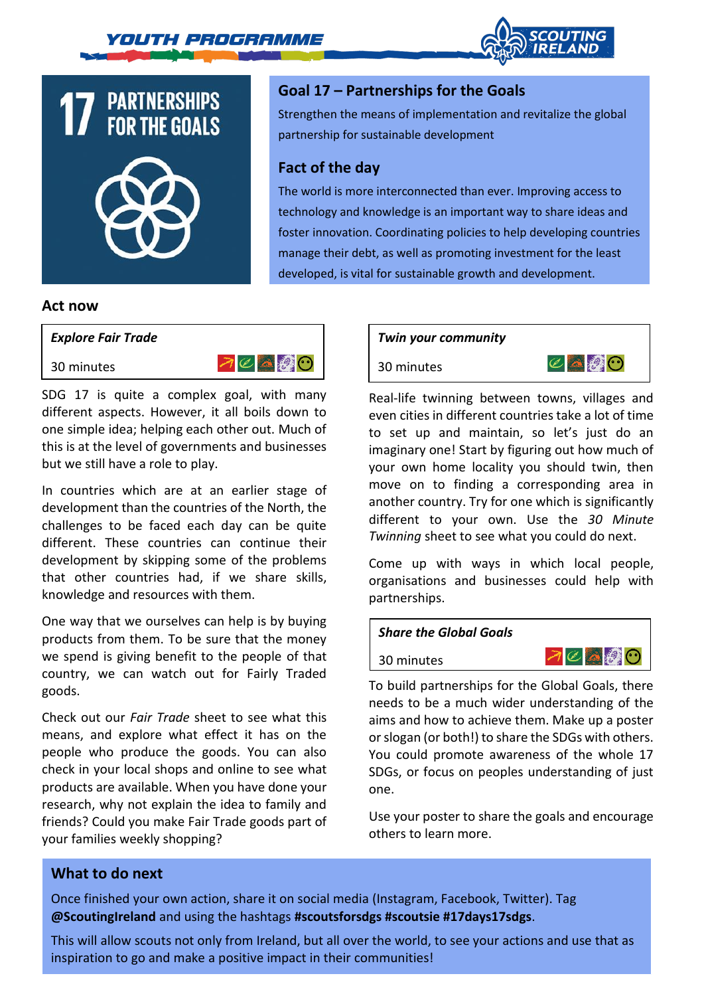





## **Goal 17 – Partnerships for the Goals**

Strengthen the means of implementation and revitalize the global partnership for sustainable development

## **Fact of the day**

The world is more interconnected than ever. Improving access to technology and knowledge is an important way to share ideas and foster innovation. Coordinating policies to help developing countries manage their debt, as well as promoting investment for the least developed, is vital for sustainable growth and development.

#### **Act now**



30 minutes



SDG 17 is quite a complex goal, with many different aspects. However, it all boils down to one simple idea; helping each other out. Much of this is at the level of governments and businesses but we still have a role to play.

In countries which are at an earlier stage of development than the countries of the North, the challenges to be faced each day can be quite different. These countries can continue their development by skipping some of the problems that other countries had, if we share skills, knowledge and resources with them.

One way that we ourselves can help is by buying products from them. To be sure that the money we spend is giving benefit to the people of that country, we can watch out for Fairly Traded goods.

Check out our *Fair Trade* sheet to see what this means, and explore what effect it has on the people who produce the goods. You can also check in your local shops and online to see what products are available. When you have done your research, why not explain the idea to family and friends? Could you make Fair Trade goods part of your families weekly shopping?

#### *Twin your community*

30 minutes



Real-life twinning between towns, villages and even cities in different countries take a lot of time to set up and maintain, so let's just do an imaginary one! Start by figuring out how much of your own home locality you should twin, then move on to finding a corresponding area in another country. Try for one which is significantly different to your own. Use the *30 Minute Twinning* sheet to see what you could do next.

Come up with ways in which local people, organisations and businesses could help with partnerships.

#### *Share the Global Goals*

30 minutes



To build partnerships for the Global Goals, there needs to be a much wider understanding of the aims and how to achieve them. Make up a poster or slogan (or both!) to share the SDGs with others. You could promote awareness of the whole 17 SDGs, or focus on peoples understanding of just one.

Use your poster to share the goals and encourage others to learn more.

### **What to do next**

Once finished your own action, share it on social media (Instagram, Facebook, Twitter). Tag **@ScoutingIreland** and using the hashtags **#scoutsforsdgs #scoutsie #17days17sdgs**.

This will allow scouts not only from Ireland, but all over the world, to see your actions and use that as inspiration to go and make a positive impact in their communities!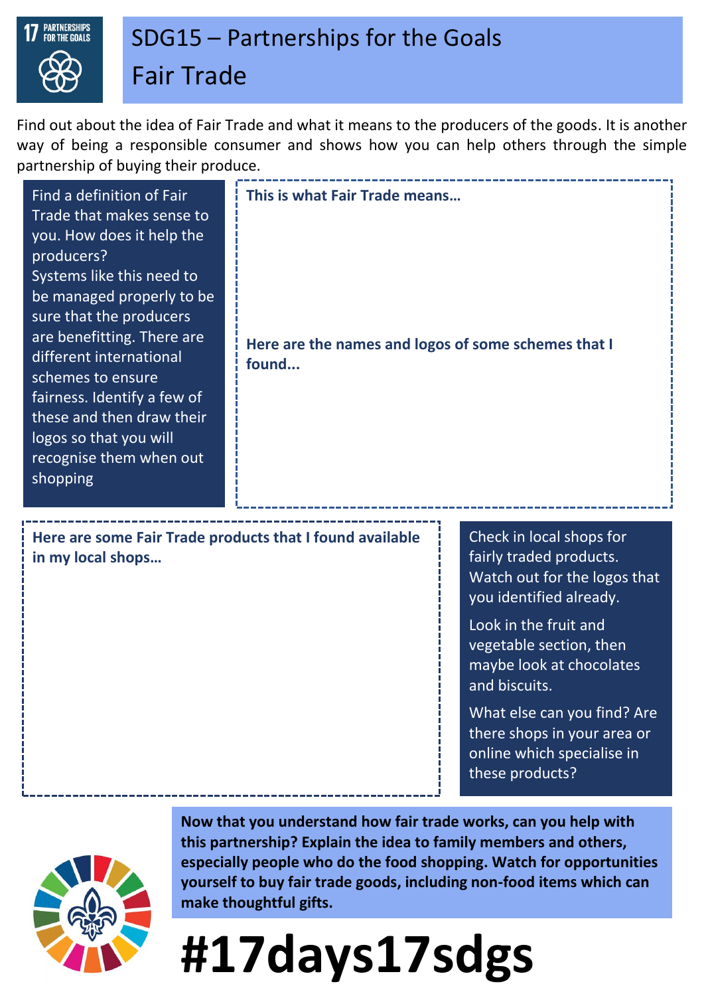

## SDG15 – Partnerships for the Goals Fair Trade

Find out about the idea of Fair Trade and what it means to the producers of the goods. It is another way of being a responsible consumer and shows how you can help others through the simple partnership of buying their produce.

| Find a definition of Fair<br>Trade that makes sense to<br>you. How does it help the<br>producers?<br>Systems like this need to<br>be managed properly to be<br>sure that the producers<br>are benefitting. There are<br>different international<br>schemes to ensure<br>fairness. Identify a few of<br>these and then draw their<br>logos so that you will<br>recognise them when out<br>shopping | This is what Fair Trade means<br>Here are the names and logos of some schemes that I<br>found |                                                                                                                |
|---------------------------------------------------------------------------------------------------------------------------------------------------------------------------------------------------------------------------------------------------------------------------------------------------------------------------------------------------------------------------------------------------|-----------------------------------------------------------------------------------------------|----------------------------------------------------------------------------------------------------------------|
| Here are some Fair Trade products that I found available<br>in my local shops                                                                                                                                                                                                                                                                                                                     |                                                                                               | Check in local shops for<br>fairly traded products.<br>Watch out for the logos that<br>you identified already. |
|                                                                                                                                                                                                                                                                                                                                                                                                   |                                                                                               | Look in the fruit and<br>vegetable section, then<br>maybe look at chocolates<br>and biscuits.                  |

What else can you find? Are there shops in your area or online which specialise in these products?



**Now that you understand how fair trade works, can you help with this partnership? Explain the idea to family members and others, especially people who do the food shopping. Watch for opportunities yourself to buy fair trade goods, including non-food items which can make thoughtful gifts.**

# **#17days17sdgs**